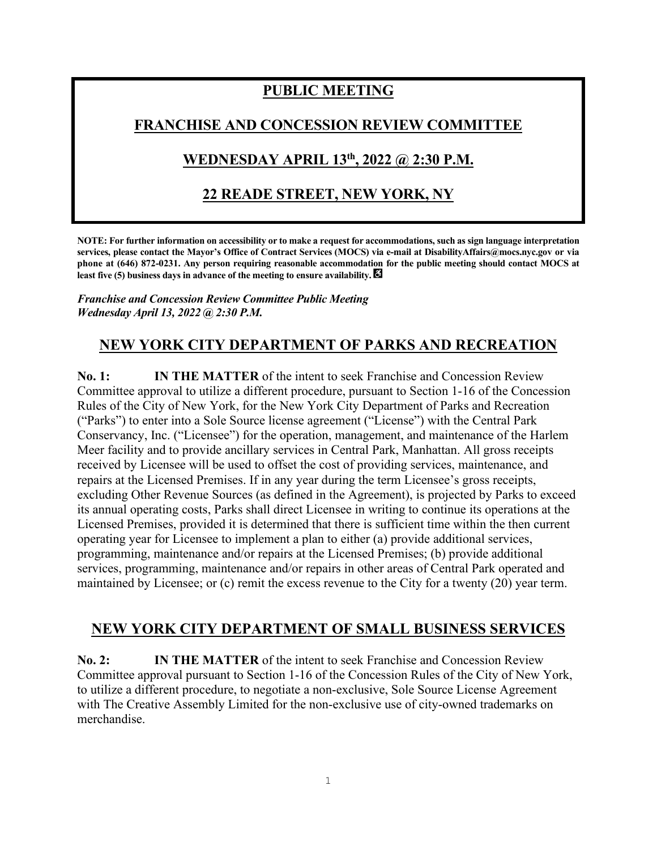# **PUBLIC MEETING**

#### **FRANCHISE AND CONCESSION REVIEW COMMITTEE**

## **WEDNESDAY APRIL 13th , 2022 @ 2:30 P.M.**

### **22 READE STREET, NEW YORK, NY**

**NOTE: For further information on accessibility or to make a request for accommodations, such as sign language interpretation services, please contact the Mayor's Office of Contract Services (MOCS) via e-mail at DisabilityAffairs@mocs.nyc.gov or via phone at (646) 872-0231. Any person requiring reasonable accommodation for the public meeting should contact MOCS at least five (5) business days in advance of the meeting to ensure availability.** 

*Franchise and Concession Review Committee Public Meeting Wednesday April 13, 2022 @ 2:30 P.M.*

### **NEW YORK CITY DEPARTMENT OF PARKS AND RECREATION**

**No. 1: IN THE MATTER** of the intent to seek Franchise and Concession Review Committee approval to utilize a different procedure, pursuant to Section 1-16 of the Concession Rules of the City of New York, for the New York City Department of Parks and Recreation ("Parks") to enter into a Sole Source license agreement ("License") with the Central Park Conservancy, Inc. ("Licensee") for the operation, management, and maintenance of the Harlem Meer facility and to provide ancillary services in Central Park, Manhattan. All gross receipts received by Licensee will be used to offset the cost of providing services, maintenance, and repairs at the Licensed Premises. If in any year during the term Licensee's gross receipts, excluding Other Revenue Sources (as defined in the Agreement), is projected by Parks to exceed its annual operating costs, Parks shall direct Licensee in writing to continue its operations at the Licensed Premises, provided it is determined that there is sufficient time within the then current operating year for Licensee to implement a plan to either (a) provide additional services, programming, maintenance and/or repairs at the Licensed Premises; (b) provide additional services, programming, maintenance and/or repairs in other areas of Central Park operated and maintained by Licensee; or (c) remit the excess revenue to the City for a twenty (20) year term.

#### **NEW YORK CITY DEPARTMENT OF SMALL BUSINESS SERVICES**

**No. 2: IN THE MATTER** of the intent to seek Franchise and Concession Review Committee approval pursuant to Section 1-16 of the Concession Rules of the City of New York, to utilize a different procedure, to negotiate a non-exclusive, Sole Source License Agreement with The Creative Assembly Limited for the non-exclusive use of city-owned trademarks on merchandise.